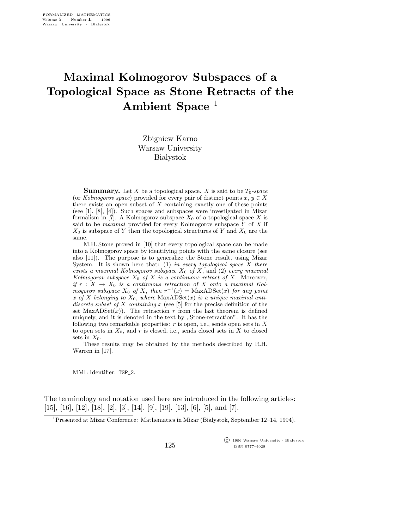## Maximal Kolmogorov Subspaces of a Topological Space as Stone Retracts of the Ambient Space<sup>1</sup>

Zbigniew Karno Warsaw University **Białystok** 

**Summary.** Let X be a topological space. X is said to be  $T_0$ -space (or Kolmogorov space) provided for every pair of distinct points  $x, y \in X$ there exists an open subset of  $X$  containing exactly one of these points (see [1], [8], [4]). Such spaces and subspaces were investigated in Mizar formalism in [7]. A Kolmogorov subspace  $X_0$  of a topological space X is said to be *maximal* provided for every Kolmogorov subspace  $Y$  of  $X$  if  $X_0$  is subspace of Y then the topological structures of Y and  $X_0$  are the same.

M.H. Stone proved in [10] that every topological space can be made into a Kolmogorov space by identifying points with the same closure (see also [11]). The purpose is to generalize the Stone result, using Mizar System. It is shown here that:  $(1)$  in every topological space X there exists a maximal Kolmogorov subspace  $X_0$  of X, and (2) every maximal Kolmogorov subspace  $X_0$  of  $X$  is a continuous retract of  $X$ . Moreover, if  $r : X \to X_0$  is a continuous retraction of X onto a maximal Kolmogorov subspace  $X_0$  of X, then  $r^{-1}(x) = \text{MaxADSet}(x)$  for any point x of X belonging to  $X_0$ , where  $MaxADE(x)$  is a unique maximal antidiscrete subset of X containing  $x$  (see [5] for the precise definition of the set  $MaxADSet(x)$ . The retraction r from the last theorem is defined uniquely, and it is denoted in the text by ,,Stone-retraction". It has the following two remarkable properties:  $r$  is open, i.e., sends open sets in  $X$ to open sets in  $X_0$ , and r is closed, i.e., sends closed sets in X to closed sets in  $X_0$ .

These results may be obtained by the methods described by R.H. Warren in [17].

MML Identifier: TSP 2.

The terminology and notation used here are introduced in the following articles:  $[15]$ ,  $[16]$ ,  $[12]$ ,  $[18]$ ,  $[2]$ ,  $[3]$ ,  $[14]$ ,  $[9]$ ,  $[19]$ ,  $[13]$ ,  $[6]$ ,  $[5]$ , and  $[7]$ .

<sup>1</sup> Presented at Mizar Conference: Mathematics in Mizar (Białystok, September 12–14, 1994).

125

 $\overline{\text{C}}$  1996 Warsaw University - Białystok ISSN 0777–4028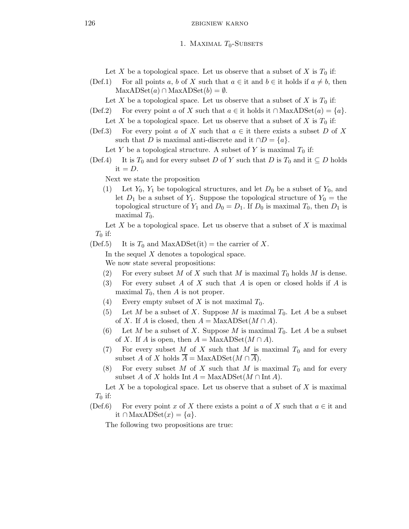126 zbigniew karno

## 1. MAXIMAL  $T_0$ -SUBSETS

Let X be a topological space. Let us observe that a subset of X is  $T_0$  if:

(Def.1) For all points a, b of X such that  $a \in \text{it}$  and  $b \in \text{it}$  holds if  $a \neq b$ , then  $MaxADSet(a) \cap MaxADSet(b) = \emptyset.$ 

Let X be a topological space. Let us observe that a subset of X is  $T_0$  if:

- (Def.2) For every point a of X such that  $a \in \text{it}$  holds it  $\cap$  MaxADSet $(a) = \{a\}.$ Let X be a topological space. Let us observe that a subset of X is  $T_0$  if:
- (Def.3) For every point a of X such that  $a \in \mathfrak{t}$  there exists a subset D of X such that D is maximal anti-discrete and it  $\cap D = \{a\}.$

Let Y be a topological structure. A subset of Y is maximal  $T_0$  if:

(Def.4) It is  $T_0$  and for every subset D of Y such that D is  $T_0$  and it  $\subseteq D$  holds it  $=D$ .

Next we state the proposition

(1) Let  $Y_0$ ,  $Y_1$  be topological structures, and let  $D_0$  be a subset of  $Y_0$ , and let  $D_1$  be a subset of  $Y_1$ . Suppose the topological structure of  $Y_0$  = the topological structure of  $Y_1$  and  $D_0 = D_1$ . If  $D_0$  is maximal  $T_0$ , then  $D_1$  is maximal  $T_0$ .

Let X be a topological space. Let us observe that a subset of X is maximal  $T_0$  if:

(Def.5) It is  $T_0$  and MaxADSet(it) = the carrier of X.

In the sequel X denotes a topological space.

We now state several propositions:

- (2) For every subset M of X such that M is maximal  $T_0$  holds M is dense.
- (3) For every subset  $A$  of  $X$  such that  $A$  is open or closed holds if  $A$  is maximal  $T_0$ , then A is not proper.
- (4) Every empty subset of X is not maximal  $T_0$ .
- (5) Let M be a subset of X. Suppose M is maximal  $T_0$ . Let A be a subset of X. If A is closed, then  $A = \text{MaxADSet}(M \cap A)$ .
- (6) Let M be a subset of X. Suppose M is maximal  $T_0$ . Let A be a subset of X. If A is open, then  $A = \text{MaxADSet}(M \cap A)$ .
- (7) For every subset M of X such that M is maximal  $T_0$  and for every subset A of X holds  $\overline{A} = \text{MaxADSet}(M \cap \overline{A}).$
- (8) For every subset M of X such that M is maximal  $T_0$  and for every subset A of X holds Int  $A = \text{MaxADSet}(M \cap \text{Int } A)$ .

Let X be a topological space. Let us observe that a subset of X is maximal  $T_0$  if:

(Def.6) For every point x of X there exists a point a of X such that  $a \in \mathfrak{t}$  and it ∩ MaxADSet $(x) = \{a\}.$ 

The following two propositions are true: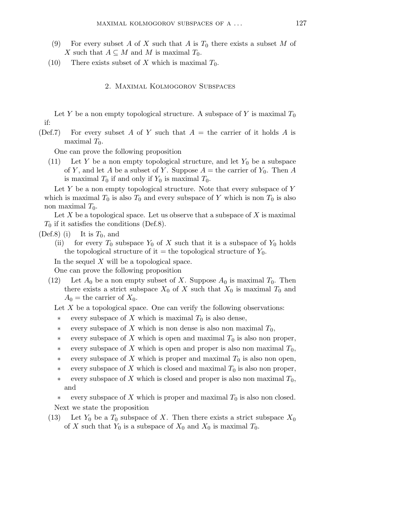- (9) For every subset A of X such that A is  $T_0$  there exists a subset M of X such that  $A \subseteq M$  and M is maximal  $T_0$ .
- (10) There exists subset of X which is maximal  $T_0$ .
	- 2. Maximal Kolmogorov Subspaces

Let Y be a non empty topological structure. A subspace of Y is maximal  $T_0$ if:

(Def.7) For every subset A of Y such that  $A =$  the carrier of it holds A is maximal  $T_0$ .

One can prove the following proposition

(11) Let Y be a non empty topological structure, and let  $Y_0$  be a subspace of Y, and let A be a subset of Y. Suppose  $A =$  the carrier of  $Y_0$ . Then A is maximal  $T_0$  if and only if  $Y_0$  is maximal  $T_0$ .

Let  $Y$  be a non empty topological structure. Note that every subspace of  $Y$ which is maximal  $T_0$  is also  $T_0$  and every subspace of Y which is non  $T_0$  is also non maximal  $T_0$ .

Let X be a topological space. Let us observe that a subspace of X is maximal  $T_0$  if it satisfies the conditions (Def.8).

- (Def.8) (i) It is  $T_0$ , and
	- (ii) for every  $T_0$  subspace  $Y_0$  of X such that it is a subspace of  $Y_0$  holds the topological structure of it = the topological structure of  $Y_0$ .

In the sequel  $X$  will be a topological space.

One can prove the following proposition

(12) Let  $A_0$  be a non empty subset of X. Suppose  $A_0$  is maximal  $T_0$ . Then there exists a strict subspace  $X_0$  of X such that  $X_0$  is maximal  $T_0$  and  $A_0$  = the carrier of  $X_0$ .

Let  $X$  be a topological space. One can verify the following observations:

- every subspace of X which is maximal  $T_0$  is also dense,
- every subspace of X which is non dense is also non maximal  $T_0$ ,
- every subspace of X which is open and maximal  $T_0$  is also non proper,
- every subspace of X which is open and proper is also non maximal  $T_0$ ,
- every subspace of X which is proper and maximal  $T_0$  is also non open,
- every subspace of X which is closed and maximal  $T_0$  is also non proper,
- every subspace of X which is closed and proper is also non maximal  $T_0$ , and

every subspace of X which is proper and maximal  $T_0$  is also non closed. Next we state the proposition

(13) Let  $Y_0$  be a  $T_0$  subspace of X. Then there exists a strict subspace  $X_0$ of X such that  $Y_0$  is a subspace of  $X_0$  and  $X_0$  is maximal  $T_0$ .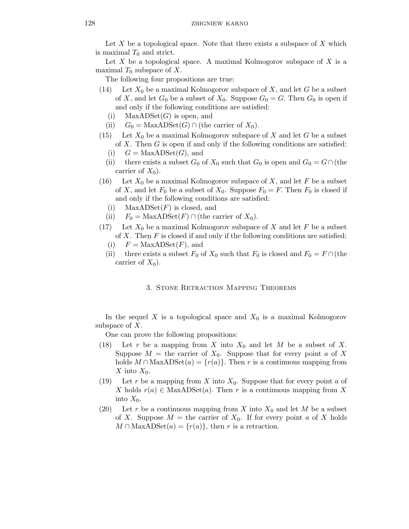Let  $X$  be a topological space. Note that there exists a subspace of  $X$  which is maximal  $T_0$  and strict.

Let  $X$  be a topological space. A maximal Kolmogorov subspace of  $X$  is a maximal  $T_0$  subspace of X.

The following four propositions are true:

- (14) Let  $X_0$  be a maximal Kolmogorov subspace of X, and let G be a subset of X, and let  $G_0$  be a subset of  $X_0$ . Suppose  $G_0 = G$ . Then  $G_0$  is open if and only if the following conditions are satisfied:
	- (i) MaxADSet $(G)$  is open, and
	- (ii)  $G_0 = \text{MaxADSet}(G) \cap (\text{the carrier of } X_0).$
- (15) Let  $X_0$  be a maximal Kolmogorov subspace of X and let G be a subset of X. Then  $G$  is open if and only if the following conditions are satisfied:
	- (i)  $G = \text{MaxADSet}(G)$ , and
	- (ii) there exists a subset  $G_0$  of  $X_0$  such that  $G_0$  is open and  $G_0 = G \cap$  (the carrier of  $X_0$ ).
- (16) Let  $X_0$  be a maximal Kolmogorov subspace of X, and let F be a subset of X, and let  $F_0$  be a subset of  $X_0$ . Suppose  $F_0 = F$ . Then  $F_0$  is closed if and only if the following conditions are satisfied:
	- (i) MaxADSet $(F)$  is closed, and
	- (ii)  $F_0 = \text{MaxADSet}(F) \cap (\text{the carrier of } X_0).$
- (17) Let  $X_0$  be a maximal Kolmogorov subspace of X and let F be a subset of X. Then  $F$  is closed if and only if the following conditions are satisfied:
	- (i)  $F = \text{MaxADSet}(F)$ , and
	- (ii) there exists a subset  $F_0$  of  $X_0$  such that  $F_0$  is closed and  $F_0 = F \cap$  (the carrier of  $X_0$ ).

## 3. Stone Retraction Mapping Theorems

In the sequel X is a topological space and  $X_0$  is a maximal Kolmogorov subspace of  $X$ .

One can prove the following propositions:

- (18) Let r be a mapping from X into  $X_0$  and let M be a subset of X. Suppose  $M =$  the carrier of  $X_0$ . Suppose that for every point a of X holds  $M \cap \text{MaxADSet}(a) = \{r(a)\}.$  Then r is a continuous mapping from X into  $X_0$ .
- (19) Let r be a mapping from X into  $X_0$ . Suppose that for every point a of X holds  $r(a) \in MaxADSet(a)$ . Then r is a continuous mapping from X into  $X_0$ .
- (20) Let r be a continuous mapping from X into  $X_0$  and let M be a subset of X. Suppose  $M =$  the carrier of  $X_0$ . If for every point a of X holds  $M \cap \text{MaxADSet}(a) = \{r(a)\}\text{, then } r \text{ is a retraction.}$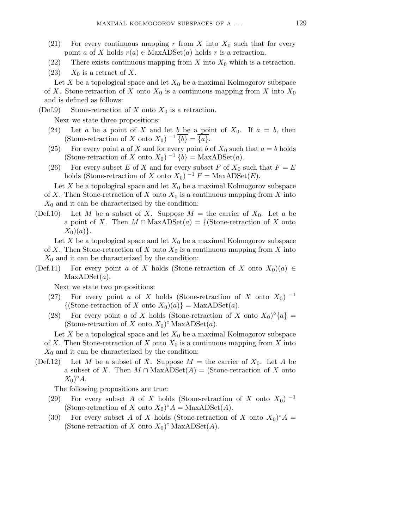- (21) For every continuous mapping r from X into  $X_0$  such that for every point a of X holds  $r(a) \in \text{MaxADSet}(a)$  holds r is a retraction.
- (22) There exists continuous mapping from X into  $X_0$  which is a retraction.
- $(23)$   $X_0$  is a retract of X.

Let X be a topological space and let  $X_0$  be a maximal Kolmogorov subspace of X. Stone-retraction of X onto  $X_0$  is a continuous mapping from X into  $X_0$ and is defined as follows:

(Def.9) Stone-retraction of X onto  $X_0$  is a retraction.

Next we state three propositions:

- (24) Let a be a point of X and let  $b$  be a point of  $X_0$ . If  $a = b$ , then (Stone-retraction of X onto  $X_0$ )  $^{-1}$   $\overline{\{b\}} = \overline{\{a\}}$ .
- (25) For every point a of X and for every point b of  $X_0$  such that  $a = b$  holds (Stone-retraction of X onto  $X_0$ )  $^{-1}$  {b} = MaxADSet(a).
- (26) For every subset E of X and for every subset F of  $X_0$  such that  $F = E$ holds (Stone-retraction of X onto  $X_0$ )  $^{-1}F = \text{MaxADSet}(E)$ .

Let X be a topological space and let  $X_0$  be a maximal Kolmogorov subspace of X. Then Stone-retraction of X onto  $X_0$  is a continuous mapping from X into  $X_0$  and it can be characterized by the condition:

(Def.10) Let M be a subset of X. Suppose  $M =$  the carrier of  $X_0$ . Let a be a point of X. Then  $M \cap \text{MaxADSet}(a) = \{(\text{Stone-retraction of } X \text{ onto})\}$  $X_0)(a)$ .

Let X be a topological space and let  $X_0$  be a maximal Kolmogorov subspace of X. Then Stone-retraction of X onto  $X_0$  is a continuous mapping from X into  $X_0$  and it can be characterized by the condition:

(Def.11) For every point a of X holds (Stone-retraction of X onto  $X_0(a) \in$  $MaxADSet(a)$ .

Next we state two propositions:

- (27) For every point a of X holds (Stone-retraction of X onto  $X_0$ )  $^{-1}$  $\{(\text{Stone-retraction of } X \text{ onto } X_0)(a)\} = \text{MaxADSet}(a).$
- (28) For every point a of X holds (Stone-retraction of X onto  $X_0$ <sup>o</sup> $\{a\}$  = (Stone-retraction of X onto  $X_0$ )° MaxADSet(a).

Let X be a topological space and let  $X_0$  be a maximal Kolmogorov subspace of X. Then Stone-retraction of X onto  $X_0$  is a continuous mapping from X into  $X_0$  and it can be characterized by the condition:

(Def.12) Let M be a subset of X. Suppose  $M =$  the carrier of  $X_0$ . Let A be a subset of X. Then  $M \cap \text{MaxADSet}(A) = (\text{Stone-retraction of } X \text{ onto }$  $X_0)^{\circ}A$ .

The following propositions are true:

- (29) For every subset A of X holds (Stone-retraction of X onto  $X_0$ )  $^{-1}$ (Stone-retraction of X onto  $X_0$ )°  $A = \text{MaxADSet}(A)$ .
- (30) For every subset A of X holds (Stone-retraction of X onto  $X_0$ )°A = (Stone-retraction of X onto  $X_0$ )° MaxADSet(A).